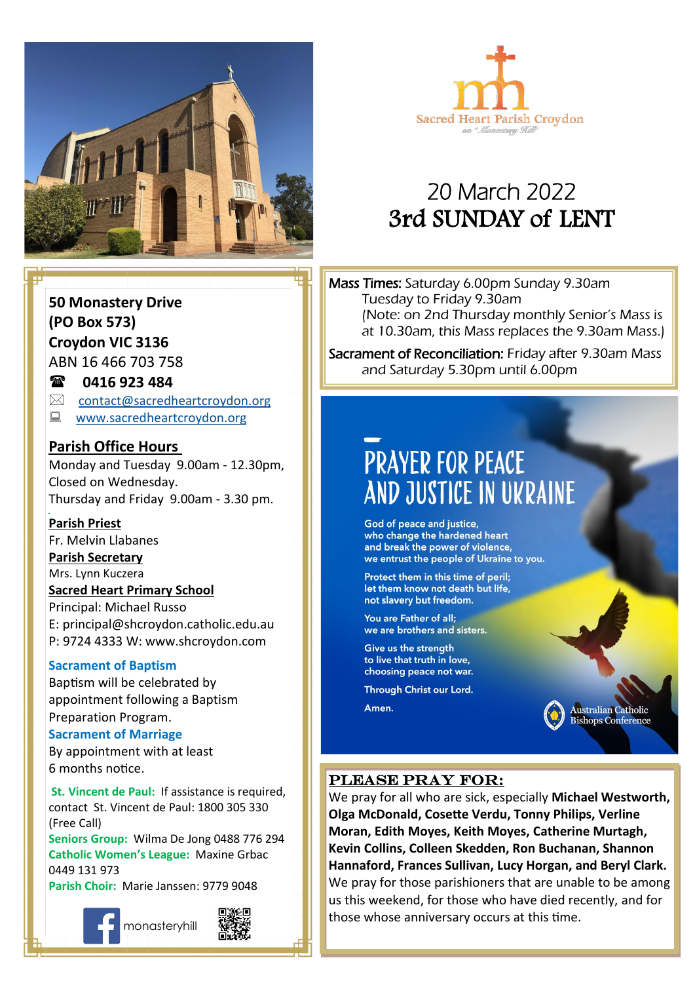



# 20 March 2022 3rd SUNDAY of LENT

**50 Monastery Drive (PO Box 573) Croydon VIC 3136** ABN 16 466 703 758

### **0416 923 484**

- $\boxtimes$  [contact@sacredheartcroydon.org](mailto:contact@sacredheartcroydon.org)
- **WWW.sacredheartcroydon.org**

### **Parish Office Hours**

Monday and Tuesday 9.00am - 12.30pm, Closed on Wednesday. Thursday and Friday 9.00am - 3.30 pm.

### **Parish Priest**

Fr. Melvin Llabanes

### **Parish Secretary**

Mrs. Lynn Kuczera

### **Sacred Heart Primary School**

Principal: Michael Russo E: principal@shcroydon.catholic.edu.au P: 9724 4333 W: www.shcroydon.com

#### **Sacrament of Baptism**

Baptism will be celebrated by appointment following a Baptism Preparation Program.

### **Sacrament of Marriage**

By appointment with at least 6 months notice.

**St. Vincent de Paul: If assistance is required.** contact St. Vincent de Paul: 1800 305 330 (Free Call)

**Seniors Group:** Wilma De Jong 0488 776 294 **Catholic Women's League:** Maxine Grbac 0449 131 973

**Parish Choir:** Marie Janssen: 9779 9048









Mass Times: Saturday 6.00pm Sunday 9.30am Tuesday to Friday 9.30am (Note: on 2nd Thursday monthly Senior's Mass is at 10.30am, this Mass replaces the 9.30am Mass.)

Sacrament of Reconciliation: Friday after 9.30am Mass and Saturday 5.30pm until 6.00pm

# **PRAYER FOR PEACE** AND JUSTICE IN UKRAINE

God of peace and justice, who change the hardened heart and break the power of violence, we entrust the people of Ukraine to you.

Protect them in this time of peril; let them know not death but life, not slavery but freedom.

You are Father of all; we are brothers and sisters.

Give us the strength to live that truth in love, choosing peace not war.

Through Christ our Lord.

Amen.

Australian Catholic **Bishops Conference** 

### Please pray for:

We pray for all who are sick, especially **Michael Westworth, Olga McDonald, Cosette Verdu, Tonny Philips, Verline Moran, Edith Moyes, Keith Moyes, Catherine Murtagh, Kevin Collins, Colleen Skedden, Ron Buchanan, Shannon Hannaford, Frances Sullivan, Lucy Horgan, and Beryl Clark.** We pray for those parishioners that are unable to be among us this weekend, for those who have died recently, and for those whose anniversary occurs at this time.